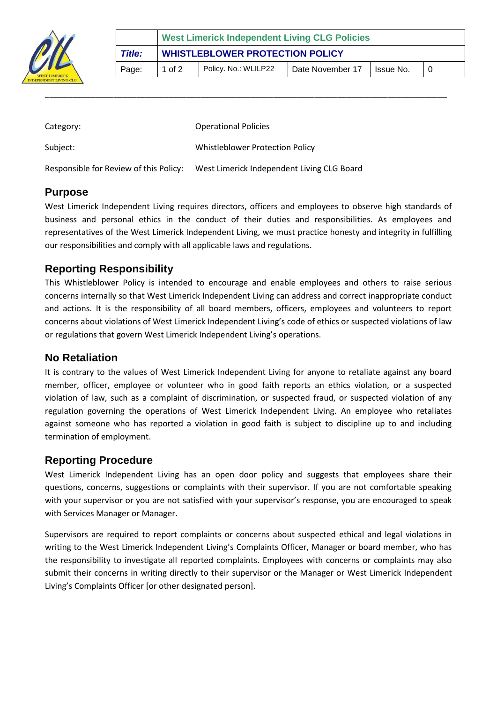

|               | <b>West Limerick Independent Living CLG Policies</b> |                      |                  |             |  |  |  |  |
|---------------|------------------------------------------------------|----------------------|------------------|-------------|--|--|--|--|
| <b>Title:</b> | <b>WHISTLEBLOWER PROTECTION POLICY</b>               |                      |                  |             |  |  |  |  |
| Page:         | 1 of 2                                               | Policy. No.: WLILP22 | Date November 17 | I Issue No. |  |  |  |  |

| Category:                              | <b>Operational Policies</b>                |
|----------------------------------------|--------------------------------------------|
| Subject:                               | Whistleblower Protection Policy            |
| Responsible for Review of this Policy: | West Limerick Independent Living CLG Board |

#### **Purpose**

West Limerick Independent Living requires directors, officers and employees to observe high standards of business and personal ethics in the conduct of their duties and responsibilities. As employees and representatives of the West Limerick Independent Living, we must practice honesty and integrity in fulfilling our responsibilities and comply with all applicable laws and regulations.

\_\_\_\_\_\_\_\_\_\_\_\_\_\_\_\_\_\_\_\_\_\_\_\_\_\_\_\_\_\_\_\_\_\_\_\_\_\_\_\_\_\_\_\_\_\_\_\_\_\_\_\_\_\_\_\_\_\_\_\_\_\_\_\_\_\_\_\_\_\_\_\_\_\_\_\_\_\_\_\_\_\_\_\_\_\_\_\_

### **Reporting Responsibility**

This Whistleblower Policy is intended to encourage and enable employees and others to raise serious concerns internally so that West Limerick Independent Living can address and correct inappropriate conduct and actions. It is the responsibility of all board members, officers, employees and volunteers to report concerns about violations of West Limerick Independent Living's code of ethics or suspected violations of law or regulations that govern West Limerick Independent Living's operations.

#### **No Retaliation**

It is contrary to the values of West Limerick Independent Living for anyone to retaliate against any board member, officer, employee or volunteer who in good faith reports an ethics violation, or a suspected violation of law, such as a complaint of discrimination, or suspected fraud, or suspected violation of any regulation governing the operations of West Limerick Independent Living. An employee who retaliates against someone who has reported a violation in good faith is subject to discipline up to and including termination of employment.

#### **Reporting Procedure**

West Limerick Independent Living has an open door policy and suggests that employees share their questions, concerns, suggestions or complaints with their supervisor. If you are not comfortable speaking with your supervisor or you are not satisfied with your supervisor's response, you are encouraged to speak with Services Manager or Manager.

Supervisors are required to report complaints or concerns about suspected ethical and legal violations in writing to the West Limerick Independent Living's Complaints Officer, Manager or board member, who has the responsibility to investigate all reported complaints. Employees with concerns or complaints may also submit their concerns in writing directly to their supervisor or the Manager or West Limerick Independent Living's Complaints Officer [or other designated person].